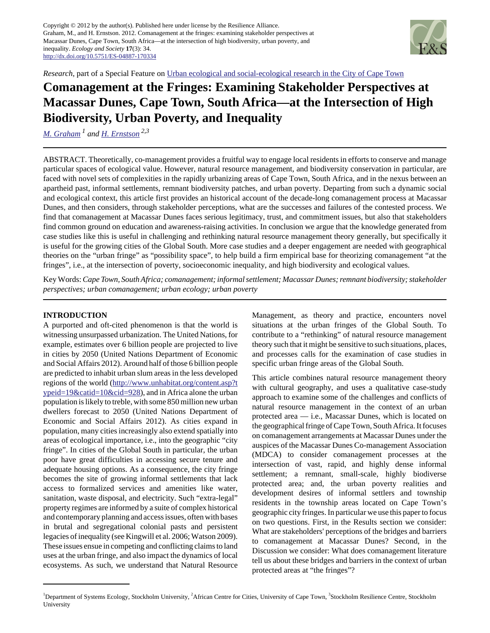Copyright © 2012 by the author(s). Published here under license by the Resilience Alliance. Graham, M., and H. Ernstson. 2012. Comanagement at the fringes: examining stakeholder perspectives at Macassar Dunes, Cape Town, South Africa—at the intersection of high biodiversity, urban poverty, and inequality. *Ecology and Society* **17**(3): 34. <http://dx.doi.org/10.5751/ES-04887-170334>



*Research*, part of a Special Feature on [Urban ecological and social-ecological research in the City of Cape Town](http://www.ecologyandsociety.org/viewissue.php?sf=64)

# **Comanagement at the Fringes: Examining Stakeholder Perspectives at Macassar Dunes, Cape Town, South Africa—at the Intersection of High Biodiversity, Urban Poverty, and Inequality**

*[M. Graham](mailto:marnie@ecology.su.se) 1 and [H. Ernstson](mailto:henrik.ernstson@stockholmresilience.su.se) 2,3*

ABSTRACT. Theoretically, co-management provides a fruitful way to engage local residents in efforts to conserve and manage particular spaces of ecological value. However, natural resource management, and biodiversity conservation in particular, are faced with novel sets of complexities in the rapidly urbanizing areas of Cape Town, South Africa, and in the nexus between an apartheid past, informal settlements, remnant biodiversity patches, and urban poverty. Departing from such a dynamic social and ecological context, this article first provides an historical account of the decade-long comanagement process at Macassar Dunes, and then considers, through stakeholder perceptions, what are the successes and failures of the contested process. We find that comanagement at Macassar Dunes faces serious legitimacy, trust, and commitment issues, but also that stakeholders find common ground on education and awareness-raising activities. In conclusion we argue that the knowledge generated from case studies like this is useful in challenging and rethinking natural resource management theory generally, but specifically it is useful for the growing cities of the Global South. More case studies and a deeper engagement are needed with geographical theories on the "urban fringe" as "possibility space", to help build a firm empirical base for theorizing comanagement "at the fringes", i.e., at the intersection of poverty, socioeconomic inequality, and high biodiversity and ecological values.

Key Words: *Cape Town, South Africa; comanagement; informal settlement; Macassar Dunes; remnant biodiversity; stakeholder perspectives; urban comanagement; urban ecology; urban poverty*

# **INTRODUCTION**

A purported and oft-cited phenomenon is that the world is witnessing unsurpassed urbanization. The United Nations, for example, estimates over 6 billion people are projected to live in cities by 2050 (United Nations Department of Economic and Social Affairs 2012). Around half of those 6 billion people are predicted to inhabit urban slum areas in the less developed regions of the world ([http://www.unhabitat.org/content.asp?t](http://www.unhabitat.org/content.asp?typeid=19&catid=10&cid=928) [ypeid=19&catid=10&cid=928](http://www.unhabitat.org/content.asp?typeid=19&catid=10&cid=928)), and in Africa alone the urban population is likely to treble, with some 850 million new urban dwellers forecast to 2050 (United Nations Department of Economic and Social Affairs 2012). As cities expand in population, many cities increasingly also extend spatially into areas of ecological importance, i.e., into the geographic "city fringe". In cities of the Global South in particular, the urban poor have great difficulties in accessing secure tenure and adequate housing options. As a consequence, the city fringe becomes the site of growing informal settlements that lack access to formalized services and amenities like water, sanitation, waste disposal, and electricity. Such "extra-legal" property regimes are informed by a suite of complex historical and contemporary planning and access issues, often with bases in brutal and segregational colonial pasts and persistent legacies of inequality (see Kingwill et al. 2006; Watson 2009). These issues ensue in competing and conflicting claims to land uses at the urban fringe, and also impact the dynamics of local ecosystems. As such, we understand that Natural Resource

Management, as theory and practice, encounters novel situations at the urban fringes of the Global South. To contribute to a "rethinking" of natural resource management theory such that it might be sensitive to such situations, places, and processes calls for the examination of case studies in specific urban fringe areas of the Global South.

This article combines natural resource management theory with cultural geography, and uses a qualitative case-study approach to examine some of the challenges and conflicts of natural resource management in the context of an urban protected area — i.e., Macassar Dunes, which is located on the geographical fringe of Cape Town, South Africa. It focuses on comanagement arrangements at Macassar Dunes under the auspices of the Macassar Dunes Co-management Association (MDCA) to consider comanagement processes at the intersection of vast, rapid, and highly dense informal settlement; a remnant, small-scale, highly biodiverse protected area; and, the urban poverty realities and development desires of informal settlers and township residents in the township areas located on Cape Town's geographic city fringes. In particular we use this paper to focus on two questions. First, in the Results section we consider: What are stakeholders' perceptions of the bridges and barriers to comanagement at Macassar Dunes? Second, in the Discussion we consider: What does comanagement literature tell us about these bridges and barriers in the context of urban protected areas at "the fringes"?

<sup>&</sup>lt;sup>1</sup>Department of Systems Ecology, Stockholm University, <sup>2</sup>African Centre for Cities, University of Cape Town, <sup>3</sup>Stockholm Resilience Centre, Stockholm University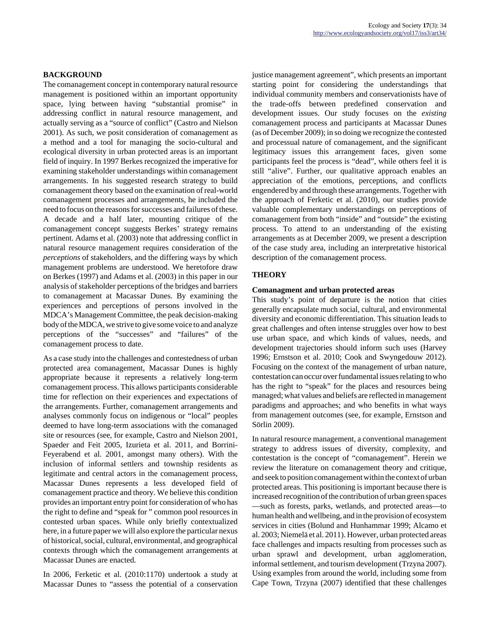# **BACKGROUND**

The comanagement concept in contemporary natural resource management is positioned within an important opportunity space, lying between having "substantial promise" in addressing conflict in natural resource management, and actually serving as a "source of conflict" (Castro and Nielson 2001). As such, we posit consideration of comanagement as a method and a tool for managing the socio-cultural and ecological diversity in urban protected areas is an important field of inquiry. In 1997 Berkes recognized the imperative for examining stakeholder understandings within comanagement arrangements. In his suggested research strategy to build comanagement theory based on the examination of real-world comanagement processes and arrangements, he included the need to focus on the reasons for successes and failures of these. A decade and a half later, mounting critique of the comanagement concept suggests Berkes' strategy remains pertinent. Adams et al. (2003) note that addressing conflict in natural resource management requires consideration of the *perceptions* of stakeholders, and the differing ways by which management problems are understood. We heretofore draw on Berkes (1997) and Adams et al. (2003) in this paper in our analysis of stakeholder perceptions of the bridges and barriers to comanagement at Macassar Dunes. By examining the experiences and perceptions of persons involved in the MDCA's Management Committee, the peak decision-making body of the MDCA, we strive to give some voice to and analyze perceptions of the "successes" and "failures" of the comanagement process to date.

As a case study into the challenges and contestedness of urban protected area comanagement, Macassar Dunes is highly appropriate because it represents a relatively long-term comanagement process. This allows participants considerable time for reflection on their experiences and expectations of the arrangements. Further, comanagement arrangements and analyses commonly focus on indigenous or "local" peoples deemed to have long-term associations with the comanaged site or resources (see, for example, Castro and Nielson 2001, Spaeder and Feit 2005, Izurieta et al. 2011, and Borrini-Feyerabend et al. 2001, amongst many others). With the inclusion of informal settlers and township residents as legitimate and central actors in the comanagement process, Macassar Dunes represents a less developed field of comanagement practice and theory. We believe this condition provides an important entry point for consideration of who has the right to define and "speak for " common pool resources in contested urban spaces. While only briefly contextualized here, in a future paper we will also explore the particular nexus of historical, social, cultural, environmental, and geographical contexts through which the comanagement arrangements at Macassar Dunes are enacted.

In 2006, Ferketic et al. (2010:1170) undertook a study at Macassar Dunes to "assess the potential of a conservation justice management agreement", which presents an important starting point for considering the understandings that individual community members and conservationists have of the trade-offs between predefined conservation and development issues. Our study focuses on the *existing* comanagement process and participants at Macassar Dunes (as of December 2009); in so doing we recognize the contested and processual nature of comanagement, and the significant legitimacy issues this arrangement faces, given some participants feel the process is "dead", while others feel it is still "alive". Further, our qualitative approach enables an appreciation of the emotions, perceptions, and conflicts engendered by and through these arrangements. Together with the approach of Ferketic et al. (2010), our studies provide valuable complementary understandings on perceptions of comanagement from both "inside" and "outside" the existing process. To attend to an understanding of the existing arrangements as at December 2009, we present a description of the case study area, including an interpretative historical description of the comanagement process.

# **THEORY**

#### **Comanagment and urban protected areas**

This study's point of departure is the notion that cities generally encapsulate much social, cultural, and environmental diversity and economic differentiation. This situation leads to great challenges and often intense struggles over how to best use urban space, and which kinds of values, needs, and development trajectories should inform such uses (Harvey 1996; Ernstson et al. 2010; Cook and Swyngedouw 2012). Focusing on the context of the management of urban nature, contestation can occur over fundamental issues relating to who has the right to "speak" for the places and resources being managed; what values and beliefs are reflected in management paradigms and approaches; and who benefits in what ways from management outcomes (see, for example, Ernstson and Sörlin 2009).

In natural resource management, a conventional management strategy to address issues of diversity, complexity, and contestation is the concept of "comanagement". Herein we review the literature on comanagement theory and critique, and seek to position comanagement within the context of urban protected areas. This positioning is important because there is increased recognition of the contribution of urban green spaces —such as forests, parks, wetlands, and protected areas—to human health and wellbeing, and in the provision of ecosystem services in cities (Bolund and Hunhammar 1999; Alcamo et al. 2003; Niemelä et al. 2011). However, urban protected areas face challenges and impacts resulting from processes such as urban sprawl and development, urban agglomeration, informal settlement, and tourism development (Trzyna 2007). Using examples from around the world, including some from Cape Town, Trzyna (2007) identified that these challenges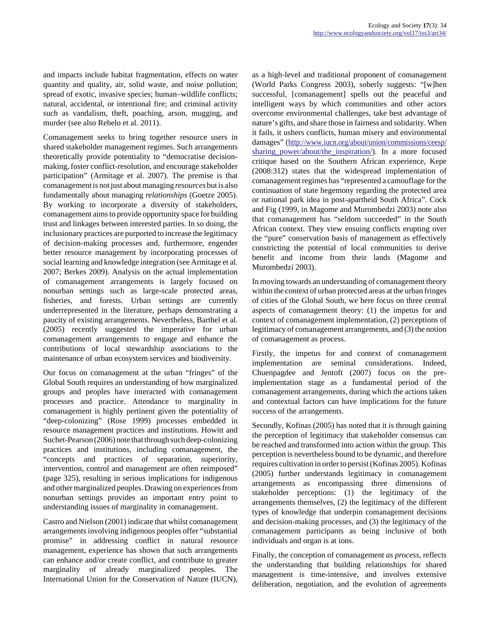and impacts include habitat fragmentation, effects on water quantity and quality, air, solid waste, and noise pollution; spread of exotic, invasive species; human–wildlife conflicts; natural, accidental, or intentional fire; and criminal activity such as vandalism, theft, poaching, arson, mugging, and murder (see also Rebelo et al. 2011).

Comanagement seeks to bring together resource users in shared stakeholder management regimes. Such arrangements theoretically provide potentiality to "democratise decisionmaking, foster conflict-resolution, and encourage stakeholder participation" (Armitage et al. 2007). The premise is that comanagement is not just about managing *resources* but is also fundamentally about managing *relationships* (Goetze 2005). By working to incorporate a diversity of stakeholders, comanagement aims to provide opportunity space for building trust and linkages between interested parties. In so doing, the inclusionary practices are purported to increase the legitimacy of decision-making processes and, furthermore, engender better resource management by incorporating processes of social learning and knowledge integration (see Armitage et al. 2007; Berkes 2009). Analysis on the actual implementation of comanagement arrangements is largely focused on nonurban settings such as large-scale protected areas, fisheries, and forests. Urban settings are currently underrepresented in the literature, perhaps demonstrating a paucity of existing arrangements. Nevertheless, Barthel et al. (2005) recently suggested the imperative for urban comanagement arrangements to engage and enhance the contributions of local stewardship associations to the maintenance of urban ecosystem services and biodiversity.

Our focus on comanagement at the urban "fringes" of the Global South requires an understanding of how marginalized groups and peoples have interacted with comanagement processes and practice. Attendance to marginality in comanagement is highly pertinent given the potentiality of "deep-colonizing" (Rose 1999) processes embedded in resource management practices and institutions. Howitt and Suchet-Pearson (2006) note that through such deep-colonizing practices and institutions, including comanagement, the "concepts and practices of separation, superiority, intervention, control and management are often reimposed" (page 325), resulting in serious implications for indigenous and other marginalized peoples. Drawing on experiences from nonurban settings provides an important entry point to understanding issues of marginality in comanagement.

Castro and Nielson (2001) indicate that whilst comanagement arrangements involving indigenous peoples offer "substantial promise" in addressing conflict in natural resource management, experience has shown that such arrangements can enhance and/or create conflict, and contribute to greater marginality of already marginalized peoples. The International Union for the Conservation of Nature (IUCN),

as a high-level and traditional proponent of comanagement (World Parks Congress 2003), soberly suggests: "[w]hen successful, [comanagement] spells out the peaceful and intelligent ways by which communities and other actors overcome environmental challenges, take best advantage of nature's gifts, and share those in fairness and solidarity. When it fails, it ushers conflicts, human misery and environmental damages" [\(http://www.iucn.org/about/union/commissions/ceesp/](http://www.iucn.org/about/union/commissions/ceesp/sharing_power/about/the_inspiration/) sharing power/about/the inspiration/). In a more focused critique based on the Southern African experience, Kepe (2008:312) states that the widespread implementation of comanagement regimes has "represented a camouflage for the continuation of state hegemony regarding the protected area or national park idea in post-apartheid South Africa". Cock and Fig (1999, in Magome and Murombedzi 2003) note also that comanagement has "seldom succeeded" in the South African context. They view ensuing conflicts erupting over the "pure" conservation basis of management as effectively constricting the potential of local communities to derive benefit and income from their lands (Magome and Murombedzi 2003).

In moving towards an understanding of comanagement theory within the context of urban protected areas at the urban fringes of cities of the Global South, we here focus on three central aspects of comanagement theory: (1) the impetus for and context of comanagement implementation, (2) perceptions of legitimacy of comanagement arrangements, and (3) the notion of comanagement as process.

Firstly, the impetus for and context of comanagement implementation are seminal considerations. Indeed, Chuenpagdee and Jentoft (2007) focus on the preimplementation stage as a fundamental period of the comanagement arrangements, during which the actions taken and contextual factors can have implications for the future success of the arrangements.

Secondly, Kofinas (2005) has noted that it is through gaining the perception of legitimacy that stakeholder consensus can be reached and transformed into action within the group. This perception is nevertheless bound to be dynamic, and therefore requires cultivation in order to persist (Kofinas 2005). Kofinas (2005) further understands legitimacy in comanagement arrangements as encompassing three dimensions of stakeholder perceptions: (1) the legitimacy of the arrangements themselves, (2) the legitimacy of the different types of knowledge that underpin comanagement decisions and decision-making processes, and (3) the legitimacy of the comanagement participants as being inclusive of both individuals and organ is at ions.

Finally, the conception of comanagement *as process,* reflects the understanding that building relationships for shared management is time-intensive, and involves extensive deliberation, negotiation, and the evolution of agreements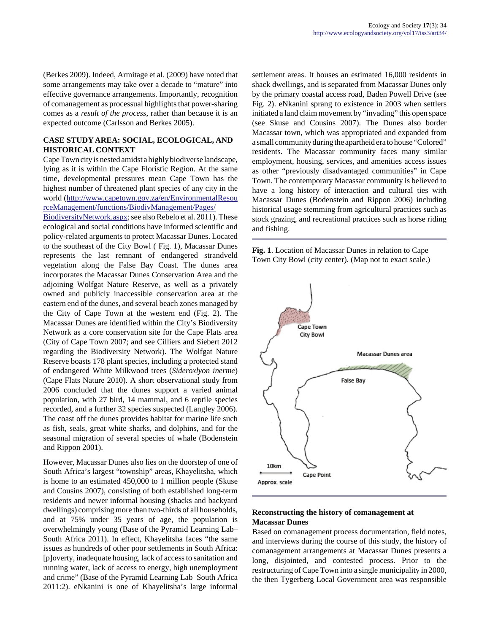(Berkes 2009). Indeed, Armitage et al. (2009) have noted that some arrangements may take over a decade to "mature" into effective governance arrangements. Importantly, recognition of comanagement as processual highlights that power-sharing comes as a *result of the process*, rather than because it is an expected outcome (Carlsson and Berkes 2005).

# **CASE STUDY AREA: SOCIAL, ECOLOGICAL, AND HISTORICAL CONTEXT**

Cape Town city is nested amidst a highly biodiverse landscape, lying as it is within the Cape Floristic Region. At the same time, developmental pressures mean Cape Town has the highest number of threatened plant species of any city in the world [\(http://www.capetown.gov.za/en/EnvironmentalResou](http://www.capetown.gov.za/en/EnvironmentalResourceManagement/functions/BiodivManagement/Pages/BiodiversityNetwork.aspx) [rceManagement/functions/BiodivManagement/Pages/](http://www.capetown.gov.za/en/EnvironmentalResourceManagement/functions/BiodivManagement/Pages/BiodiversityNetwork.aspx)

[BiodiversityNetwork.aspx](http://www.capetown.gov.za/en/EnvironmentalResourceManagement/functions/BiodivManagement/Pages/BiodiversityNetwork.aspx); see also Rebelo et al. 2011). These ecological and social conditions have informed scientific and policy-related arguments to protect Macassar Dunes. Located to the southeast of the City Bowl ( Fig. 1), Macassar Dunes represents the last remnant of endangered strandveld vegetation along the False Bay Coast. The dunes area incorporates the Macassar Dunes Conservation Area and the adjoining Wolfgat Nature Reserve, as well as a privately owned and publicly inaccessible conservation area at the eastern end of the dunes, and several beach zones managed by the City of Cape Town at the western end (Fig. 2). The Macassar Dunes are identified within the City's Biodiversity Network as a core conservation site for the Cape Flats area (City of Cape Town 2007; and see Cilliers and Siebert 2012 regarding the Biodiversity Network). The Wolfgat Nature Reserve boasts 178 plant species, including a protected stand of endangered White Milkwood trees (*Sideroxlyon inerme*) (Cape Flats Nature 2010). A short observational study from 2006 concluded that the dunes support a varied animal population, with 27 bird, 14 mammal, and 6 reptile species recorded, and a further 32 species suspected (Langley 2006). The coast off the dunes provides habitat for marine life such as fish, seals, great white sharks, and dolphins, and for the seasonal migration of several species of whale (Bodenstein and Rippon 2001).

However, Macassar Dunes also lies on the doorstep of one of South Africa's largest "township" areas, Khayelitsha, which is home to an estimated 450,000 to 1 million people (Skuse and Cousins 2007), consisting of both established long-term residents and newer informal housing (shacks and backyard dwellings) comprising more than two-thirds of all households, and at 75% under 35 years of age, the population is overwhelmingly young (Base of the Pyramid Learning Lab– South Africa 2011). In effect, Khayelitsha faces "the same issues as hundreds of other poor settlements in South Africa: [p]overty, inadequate housing, lack of access to sanitation and running water, lack of access to energy, high unemployment and crime" (Base of the Pyramid Learning Lab–South Africa 2011:2). eNkanini is one of Khayelitsha's large informal settlement areas. It houses an estimated 16,000 residents in shack dwellings, and is separated from Macassar Dunes only by the primary coastal access road, Baden Powell Drive (see Fig. 2). eNkanini sprang to existence in 2003 when settlers initiated a land claim movement by "invading" this open space (see Skuse and Cousins 2007). The Dunes also border Macassar town, which was appropriated and expanded from a small community during the apartheid era to house "Colored" residents. The Macassar community faces many similar employment, housing, services, and amenities access issues as other "previously disadvantaged communities" in Cape Town. The contemporary Macassar community is believed to have a long history of interaction and cultural ties with Macassar Dunes (Bodenstein and Rippon 2006) including historical usage stemming from agricultural practices such as stock grazing, and recreational practices such as horse riding and fishing.

**Fig. 1**. Location of Macassar Dunes in relation to Cape Town City Bowl (city center). (Map not to exact scale.)



# **Reconstructing the history of comanagement at Macassar Dunes**

Based on comanagement process documentation, field notes, and interviews during the course of this study, the history of comanagement arrangements at Macassar Dunes presents a long, disjointed, and contested process. Prior to the restructuring of Cape Town into a single municipality in 2000, the then Tygerberg Local Government area was responsible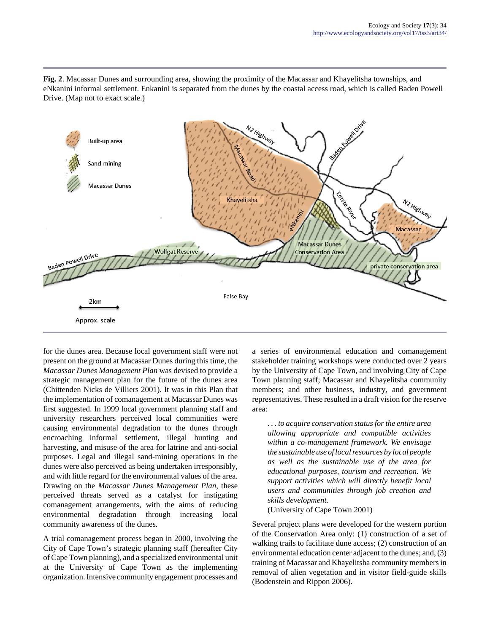**Fig. 2**. Macassar Dunes and surrounding area, showing the proximity of the Macassar and Khayelitsha townships, and eNkanini informal settlement. Enkanini is separated from the dunes by the coastal access road, which is called Baden Powell Drive. (Map not to exact scale.)



for the dunes area. Because local government staff were not present on the ground at Macassar Dunes during this time, the *Macassar Dunes Management Plan* was devised to provide a strategic management plan for the future of the dunes area (Chittenden Nicks de Villiers 2001). It was in this Plan that the implementation of comanagement at Macassar Dunes was first suggested. In 1999 local government planning staff and university researchers perceived local communities were causing environmental degradation to the dunes through encroaching informal settlement, illegal hunting and harvesting, and misuse of the area for latrine and anti-social purposes. Legal and illegal sand-mining operations in the dunes were also perceived as being undertaken irresponsibly, and with little regard for the environmental values of the area. Drawing on the *Macassar Dunes Management Plan*, these perceived threats served as a catalyst for instigating comanagement arrangements, with the aims of reducing environmental degradation through increasing local community awareness of the dunes.

A trial comanagement process began in 2000, involving the City of Cape Town's strategic planning staff (hereafter City of Cape Town planning), and a specialized environmental unit at the University of Cape Town as the implementing organization. Intensive community engagement processes and a series of environmental education and comanagement stakeholder training workshops were conducted over 2 years by the University of Cape Town, and involving City of Cape Town planning staff; Macassar and Khayelitsha community members; and other business, industry, and government representatives. These resulted in a draft vision for the reserve area:

*. . . to acquire conservation status for the entire area allowing appropriate and compatible activities within a co-management framework. We envisage the sustainable use of local resources by local people as well as the sustainable use of the area for educational purposes, tourism and recreation. We support activities which will directly benefit local users and communities through job creation and skills development.*

(University of Cape Town 2001)

Several project plans were developed for the western portion of the Conservation Area only: (1) construction of a set of walking trails to facilitate dune access; (2) construction of an environmental education center adjacent to the dunes; and, (3) training of Macassar and Khayelitsha community members in removal of alien vegetation and in visitor field-guide skills (Bodenstein and Rippon 2006).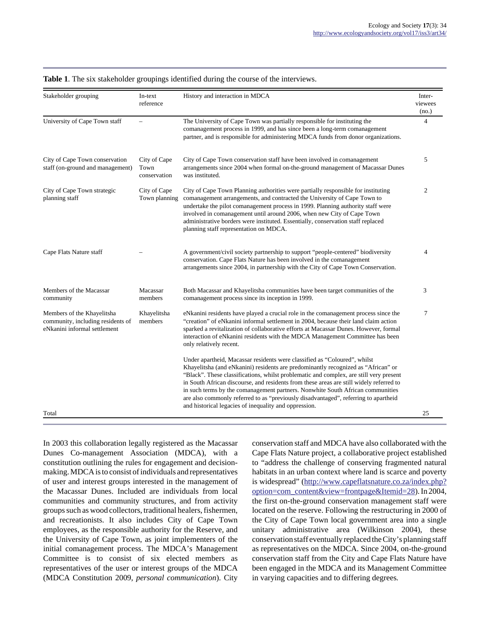| Stakeholder grouping                                                                            | In-text<br>reference                 | History and interaction in MDCA                                                                                                                                                                                                                                                                                                                                                                                                                                                                                                                                                       | Inter-<br>viewees<br>(no.) |
|-------------------------------------------------------------------------------------------------|--------------------------------------|---------------------------------------------------------------------------------------------------------------------------------------------------------------------------------------------------------------------------------------------------------------------------------------------------------------------------------------------------------------------------------------------------------------------------------------------------------------------------------------------------------------------------------------------------------------------------------------|----------------------------|
| University of Cape Town staff                                                                   |                                      | The University of Cape Town was partially responsible for instituting the<br>comanagement process in 1999, and has since been a long-term comanagement<br>partner, and is responsible for administering MDCA funds from donor organizations.                                                                                                                                                                                                                                                                                                                                          | 4                          |
| City of Cape Town conservation<br>staff (on-ground and management)                              | City of Cape<br>Town<br>conservation | City of Cape Town conservation staff have been involved in comanagement<br>arrangements since 2004 when formal on-the-ground management of Macassar Dunes<br>was instituted.                                                                                                                                                                                                                                                                                                                                                                                                          | 5                          |
| City of Cape Town strategic<br>planning staff                                                   | City of Cape<br>Town planning        | City of Cape Town Planning authorities were partially responsible for instituting<br>comanagement arrangements, and contracted the University of Cape Town to<br>undertake the pilot comanagement process in 1999. Planning authority staff were<br>involved in comanagement until around 2006, when new City of Cape Town<br>administrative borders were instituted. Essentially, conservation staff replaced<br>planning staff representation on MDCA.                                                                                                                              | 2                          |
| Cape Flats Nature staff                                                                         |                                      | A government/civil society partnership to support "people-centered" biodiversity<br>conservation. Cape Flats Nature has been involved in the comanagement<br>arrangements since 2004, in partnership with the City of Cape Town Conservation.                                                                                                                                                                                                                                                                                                                                         | 4                          |
| Members of the Macassar<br>community                                                            | Macassar<br>members                  | Both Macassar and Khayelitsha communities have been target communities of the<br>comanagement process since its inception in 1999.                                                                                                                                                                                                                                                                                                                                                                                                                                                    | 3                          |
| Members of the Khayelitsha<br>community, including residents of<br>eNkanini informal settlement | Khayelitsha<br>members               | eNkanini residents have played a crucial role in the comanagement process since the<br>"creation" of eNkanini informal settlement in 2004, because their land claim action<br>sparked a revitalization of collaborative efforts at Macassar Dunes. However, formal<br>interaction of eNkanini residents with the MDCA Management Committee has been<br>only relatively recent.                                                                                                                                                                                                        | 7                          |
|                                                                                                 |                                      | Under apartheid, Macassar residents were classified as "Coloured", whilst<br>Khayelitsha (and eNkanini) residents are predominantly recognized as "African" or<br>"Black". These classifications, whilst problematic and complex, are still very present<br>in South African discourse, and residents from these areas are still widely referred to<br>in such terms by the comanagement partners. Nonwhite South African communities<br>are also commonly referred to as "previously disadvantaged", referring to apartheid<br>and historical legacies of inequality and oppression. |                            |
| Total                                                                                           |                                      |                                                                                                                                                                                                                                                                                                                                                                                                                                                                                                                                                                                       | 25                         |

**Table 1**. The six stakeholder groupings identified during the course of the interviews.

In 2003 this collaboration legally registered as the Macassar Dunes Co-management Association (MDCA), with a constitution outlining the rules for engagement and decisionmaking. MDCA is to consist of individuals and representatives of user and interest groups interested in the management of the Macassar Dunes. Included are individuals from local communities and community structures, and from activity groups such as wood collectors, traditional healers, fishermen, and recreationists. It also includes City of Cape Town employees, as the responsible authority for the Reserve, and the University of Cape Town, as joint implementers of the initial comanagement process. The MDCA's Management Committee is to consist of six elected members as representatives of the user or interest groups of the MDCA (MDCA Constitution 2009, *personal communication*). City conservation staff and MDCA have also collaborated with the Cape Flats Nature project, a collaborative project established to "address the challenge of conserving fragmented natural habitats in an urban context where land is scarce and poverty is widespread" ([http://www.capeflatsnature.co.za/index.php?](http://www.capeflatsnature.co.za/index.php?option=com_content&view=frontpage&Itemid=28) [option=com\\_content&view=frontpage&Itemid=28\)](http://www.capeflatsnature.co.za/index.php?option=com_content&view=frontpage&Itemid=28). In 2004, the first on-the-ground conservation management staff were located on the reserve. Following the restructuring in 2000 of the City of Cape Town local government area into a single unitary administrative area (Wilkinson 2004), these conservation staff eventually replaced the City's planning staff as representatives on the MDCA. Since 2004, on-the-ground conservation staff from the City and Cape Flats Nature have been engaged in the MDCA and its Management Committee in varying capacities and to differing degrees*.*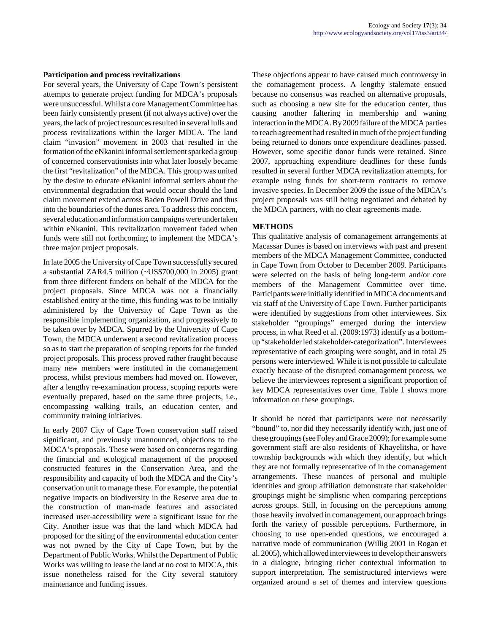#### **Participation and process revitalizations**

For several years, the University of Cape Town's persistent attempts to generate project funding for MDCA's proposals were unsuccessful. Whilst a core Management Committee has been fairly consistently present (if not always active) over the years, the lack of project resources resulted in several lulls and process revitalizations within the larger MDCA. The land claim "invasion" movement in 2003 that resulted in the formation of the eNkanini informal settlement sparked a group of concerned conservationists into what later loosely became the first "revitalization" of the MDCA. This group was united by the desire to educate eNkanini informal settlers about the environmental degradation that would occur should the land claim movement extend across Baden Powell Drive and thus into the boundaries of the dunes area*.* To address this concern, several education and information campaigns were undertaken within eNkanini. This revitalization movement faded when funds were still not forthcoming to implement the MDCA's three major project proposals.

In late 2005 the University of Cape Town successfully secured a substantial ZAR4.5 million (~US\$700,000 in 2005) grant from three different funders on behalf of the MDCA for the project proposals. Since MDCA was not a financially established entity at the time, this funding was to be initially administered by the University of Cape Town as the responsible implementing organization, and progressively to be taken over by MDCA. Spurred by the University of Cape Town, the MDCA underwent a second revitalization process so as to start the preparation of scoping reports for the funded project proposals. This process proved rather fraught because many new members were instituted in the comanagement process, whilst previous members had moved on. However, after a lengthy re-examination process, scoping reports were eventually prepared, based on the same three projects, i.e., encompassing walking trails, an education center, and community training initiatives.

In early 2007 City of Cape Town conservation staff raised significant, and previously unannounced, objections to the MDCA's proposals. These were based on concerns regarding the financial and ecological management of the proposed constructed features in the Conservation Area, and the responsibility and capacity of both the MDCA and the City's conservation unit to manage these. For example, the potential negative impacts on biodiversity in the Reserve area due to the construction of man-made features and associated increased user-accessibility were a significant issue for the City. Another issue was that the land which MDCA had proposed for the siting of the environmental education center was not owned by the City of Cape Town, but by the Department of Public Works. Whilst the Department of Public Works was willing to lease the land at no cost to MDCA, this issue nonetheless raised for the City several statutory maintenance and funding issues.

These objections appear to have caused much controversy in the comanagement process. A lengthy stalemate ensued because no consensus was reached on alternative proposals, such as choosing a new site for the education center, thus causing another faltering in membership and waning interaction in the MDCA. By 2009 failure of the MDCA parties to reach agreement had resulted in much of the project funding being returned to donors once expenditure deadlines passed. However, some specific donor funds were retained. Since 2007, approaching expenditure deadlines for these funds resulted in several further MDCA revitalization attempts, for example using funds for short-term contracts to remove invasive species. In December 2009 the issue of the MDCA's project proposals was still being negotiated and debated by the MDCA partners, with no clear agreements made.

# **METHODS**

This qualitative analysis of comanagement arrangements at Macassar Dunes is based on interviews with past and present members of the MDCA Management Committee, conducted in Cape Town from October to December 2009. Participants were selected on the basis of being long-term and/or core members of the Management Committee over time. Participants were initially identified in MDCA documents and via staff of the University of Cape Town. Further participants were identified by suggestions from other interviewees. Six stakeholder "groupings" emerged during the interview process, in what Reed et al. (2009:1973) identify as a bottomup "stakeholder led stakeholder-categorization". Interviewees representative of each grouping were sought, and in total 25 persons were interviewed. While it is not possible to calculate exactly because of the disrupted comanagement process, we believe the interviewees represent a significant proportion of key MDCA representatives over time. Table 1 shows more information on these groupings.

It should be noted that participants were not necessarily "bound" to, nor did they necessarily identify with, just one of these groupings (see Foley and Grace 2009); for example some government staff are also residents of Khayelitsha, or have township backgrounds with which they identify, but which they are not formally representative of in the comanagement arrangements. These nuances of personal and multiple identities and group affiliation demonstrate that stakeholder groupings might be simplistic when comparing perceptions across groups. Still, in focusing on the perceptions among those heavily involved in comanagement, our approach brings forth the variety of possible perceptions. Furthermore, in choosing to use open-ended questions, we encouraged a narrative mode of communication (Willig 2001 in Rogan et al. 2005), which allowed interviewees to develop their answers in a dialogue, bringing richer contextual information to support interpretation. The semistructured interviews were organized around a set of themes and interview questions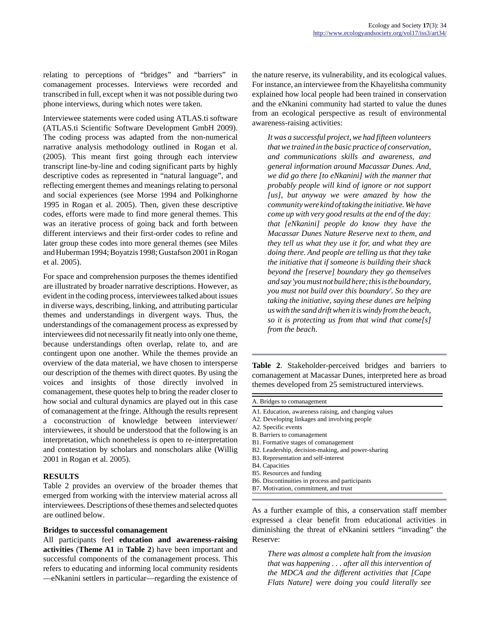relating to perceptions of "bridges" and "barriers" in comanagement processes. Interviews were recorded and transcribed in full, except when it was not possible during two phone interviews, during which notes were taken.

Interviewee statements were coded using ATLAS.ti software (ATLAS.ti Scientific Software Development GmbH 2009). The coding process was adapted from the non-numerical narrative analysis methodology outlined in Rogan et al. (2005). This meant first going through each interview transcript line-by-line and coding significant parts by highly descriptive codes as represented in "natural language", and reflecting emergent themes and meanings relating to personal and social experiences (see Morse 1994 and Polkinghorne 1995 in Rogan et al. 2005). Then, given these descriptive codes, efforts were made to find more general themes. This was an iterative process of going back and forth between different interviews and their first-order codes to refine and later group these codes into more general themes (see Miles and Huberman 1994; Boyatzis 1998; Gustafson 2001 in Rogan et al. 2005).

For space and comprehension purposes the themes identified are illustrated by broader narrative descriptions. However, as evident in the coding process, interviewees talked about issues in diverse ways, describing, linking, and attributing particular themes and understandings in divergent ways. Thus, the understandings of the comanagement process as expressed by interviewees did not necessarily fit neatly into only one theme, because understandings often overlap, relate to, and are contingent upon one another. While the themes provide an overview of the data material, we have chosen to intersperse our description of the themes with direct quotes. By using the voices and insights of those directly involved in comanagement, these quotes help to bring the reader closer to how social and cultural dynamics are played out in this case of comanagement at the fringe. Although the results represent a coconstruction of knowledge between interviewer/ interviewees, it should be understood that the following is an interpretation, which nonetheless is open to re-interpretation and contestation by scholars and nonscholars alike (Willig 2001 in Rogan et al. 2005).

#### **RESULTS**

Table 2 provides an overview of the broader themes that emerged from working with the interview material across all interviewees. Descriptions of these themes and selected quotes are outlined below.

#### **Bridges to successful comanagement**

All participants feel **education and awareness-raising activities** (**Theme A1** in **Table 2**) have been important and successful components of the comanagement process. This refers to educating and informing local community residents —eNkanini settlers in particular—regarding the existence of the nature reserve, its vulnerability, and its ecological values. For instance, an interviewee from the Khayelitsha community explained how local people had been trained in conservation and the eNkanini community had started to value the dunes from an ecological perspective as result of environmental awareness-raising activities:

*It was a successful project, we had fifteen volunteers that we trained in the basic practice of conservation, and communications skills and awareness, and general information around Macassar Dunes. And, we did go there [to eNkanini] with the manner that probably people will kind of ignore or not support [us], but anyway we were amazed by how the community were kind of taking the initiative. We have come up with very good results at the end of the day: that [eNkanini] people do know they have the Macassar Dunes Nature Reserve next to them, and they tell us what they use it for, and what they are doing there. And people are telling us that they take the initiative that if someone is building their shack beyond the [reserve] boundary they go themselves and say 'you must not build here; this is the boundary, you must not build over this boundary'. So they are taking the initiative, saying these dunes are helping us with the sand drift when it is windy from the beach, so it is protecting us from that wind that come[s] from the beach*.

**Table 2**. Stakeholder-perceived bridges and barriers to comanagement at Macassar Dunes, interpreted here as broad themes developed from 25 semistructured interviews.

| A. Bridges to comanagement                            |  |  |  |
|-------------------------------------------------------|--|--|--|
| A1. Education, awareness raising, and changing values |  |  |  |
| A2. Developing linkages and involving people          |  |  |  |
| A2. Specific events                                   |  |  |  |
| B. Barriers to comanagement                           |  |  |  |
| B1. Formative stages of comanagement                  |  |  |  |
| B2. Leadership, decision-making, and power-sharing    |  |  |  |
| B3. Representation and self-interest                  |  |  |  |
| B4. Capacities                                        |  |  |  |
| B5. Resources and funding                             |  |  |  |
| B6. Discontinuities in process and participants       |  |  |  |
| B7. Motivation, commitment, and trust                 |  |  |  |
|                                                       |  |  |  |

As a further example of this, a conservation staff member expressed a clear benefit from educational activities in diminishing the threat of eNkanini settlers "invading" the Reserve:

*There was almost a complete halt from the invasion that was happening . . . after all this intervention of the MDCA and the different activities that [Cape Flats Nature] were doing you could literally see*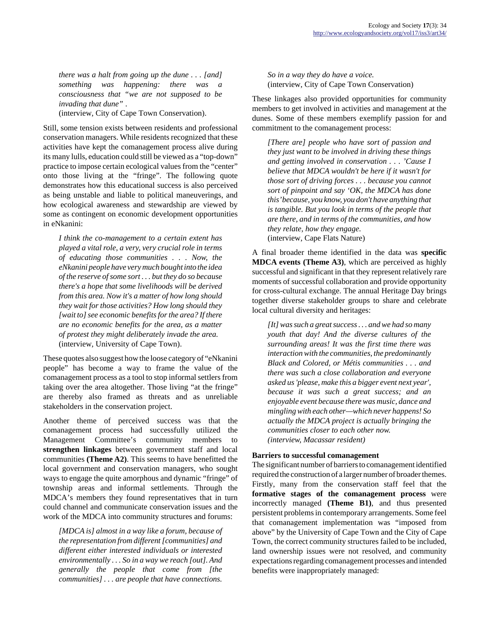*there was a halt from going up the dune . . . [and] something was happening: there was a consciousness that "we are not supposed to be invading that dune"* . (interview, City of Cape Town Conservation).

Still, some tension exists between residents and professional conservation managers. While residents recognized that these activities have kept the comanagement process alive during its many lulls, education could still be viewed as a "top-down" practice to impose certain ecological values from the "center" onto those living at the "fringe". The following quote demonstrates how this educational success is also perceived as being unstable and liable to political maneuverings, and how ecological awareness and stewardship are viewed by some as contingent on economic development opportunities in eNkanini:

*I think the co-management to a certain extent has played a vital role, a very, very crucial role in terms of educating those communities . . . Now, the eNkanini people have very much bought into the idea of the reserve of some sort . . . but they do so because there's a hope that some livelihoods will be derived from this area. Now it's a matter of how long should they wait for those activities? How long should they [wait to] see economic benefits for the area? If there are no economic benefits for the area, as a matter of protest they might deliberately invade the area.* (interview, University of Cape Town).

These quotes also suggest how the loose category of "eNkanini people" has become a way to frame the value of the comanagement process as a tool to stop informal settlers from taking over the area altogether. Those living "at the fringe" are thereby also framed as threats and as unreliable stakeholders in the conservation project.

Another theme of perceived success was that the comanagement process had successfully utilized the Management Committee's community members to **strengthen linkages** between government staff and local communities **(Theme A2)**. This seems to have benefitted the local government and conservation managers, who sought ways to engage the quite amorphous and dynamic "fringe" of township areas and informal settlements. Through the MDCA's members they found representatives that in turn could channel and communicate conservation issues and the work of the MDCA into community structures and forums:

*[MDCA is] almost in a way like a forum, because of the representation from different [communities] and different either interested individuals or interested environmentally . . . So in a way we reach [out]. And generally the people that come from [the communities] . . . are people that have connections.*

*So in a way they do have a voice.* (interview, City of Cape Town Conservation)

These linkages also provided opportunities for community members to get involved in activities and management at the dunes. Some of these members exemplify passion for and commitment to the comanagement process:

*[There are] people who have sort of passion and they just want to be involved in driving these things and getting involved in conservation . . . 'Cause I believe that MDCA wouldn't be here if it wasn't for those sort of driving forces . . . because you cannot sort of pinpoint and say 'OK, the MDCA has done this' because, you know, you don't have anything that is tangible. But you look in terms of the people that are there, and in terms of the communities, and how they relate, how they engage.* (interview, Cape Flats Nature)

A final broader theme identified in the data was **specific MDCA events (Theme A3)**, which are perceived as highly successful and significant in that they represent relatively rare moments of successful collaboration and provide opportunity for cross-cultural exchange. The annual Heritage Day brings together diverse stakeholder groups to share and celebrate local cultural diversity and heritages:

*[It] was such a great success . . . and we had so many youth that day! And the diverse cultures of the surrounding areas! It was the first time there was interaction with the communities, the predominantly Black and Colored, or Métis communities . . . and there was such a close collaboration and everyone asked us 'please, make this a bigger event next year', because it was such a great success; and an enjoyable event because there was music, dance and mingling with each other—which never happens! So actually the MDCA project is actually bringing the communities closer to each other now. (interview, Macassar resident)*

#### **Barriers to successful comanagement**

The significant number of barriers to comanagement identified required the construction of a larger number of broader themes. Firstly, many from the conservation staff feel that the **formative stages of the comanagement process** were incorrectly managed **(Theme B1)**, and thus presented persistent problems in contemporary arrangements. Some feel that comanagement implementation was "imposed from above" by the University of Cape Town and the City of Cape Town, the correct community structures failed to be included, land ownership issues were not resolved, and community expectations regarding comanagement processes and intended benefits were inappropriately managed: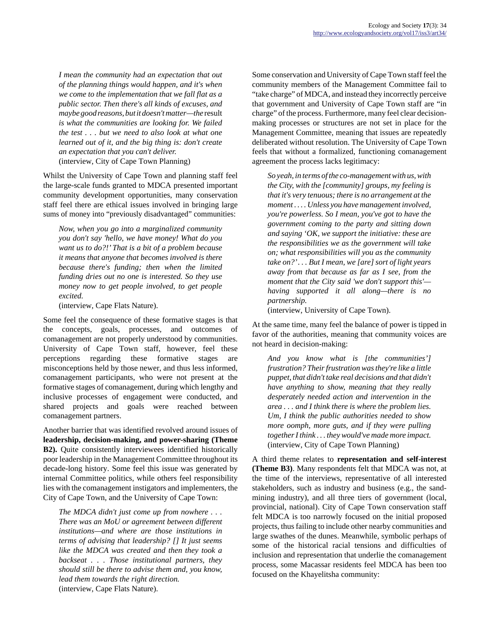*I mean the community had an expectation that out of the planning things would happen, and it's when we come to the implementation that we fall flat as a public sector. Then there's all kinds of excuses, and maybe good reasons, but it doesn't matter—the* result *is what the communities are looking for. We failed the test . . . but we need to also look at what one learned out of it, and the big thing is: don't create an expectation that you can't deliver.* (interview, City of Cape Town Planning)

Whilst the University of Cape Town and planning staff feel the large-scale funds granted to MDCA presented important community development opportunities, many conservation staff feel there are ethical issues involved in bringing large sums of money into "previously disadvantaged" communities:

*Now, when you go into a marginalized community you don't say 'hello, we have money! What do you want us to do?!' That is a bit of a problem because it means that anyone that becomes involved is there because there's funding; then when the limited funding dries out no one is interested. So they use money now to get people involved, to get people excited.* 

(interview, Cape Flats Nature).

Some feel the consequence of these formative stages is that the concepts, goals, processes, and outcomes of comanagement are not properly understood by communities. University of Cape Town staff, however, feel these perceptions regarding these formative stages are misconceptions held by those newer, and thus less informed, comanagement participants, who were not present at the formative stages of comanagement, during which lengthy and inclusive processes of engagement were conducted, and shared projects and goals were reached between comanagement partners.

Another barrier that was identified revolved around issues of **leadership, decision-making, and power-sharing (Theme B2).** Quite consistently interviewees identified historically poor leadership in the Management Committee throughout its decade-long history. Some feel this issue was generated by internal Committee politics, while others feel responsibility lies with the comanagement instigators and implementers, the City of Cape Town, and the University of Cape Town:

*The MDCA didn't just come up from nowhere . . . There was an MoU or agreement between different institutions—and where are those institutions in terms of advising that leadership? [] It just seems like the MDCA was created and then they took a backseat . . . Those institutional partners, they should still be there to advise them and, you know, lead them towards the right direction.*  (interview, Cape Flats Nature).

Some conservation and University of Cape Town staff feel the community members of the Management Committee fail to "take charge" of MDCA, and instead they incorrectly perceive that government and University of Cape Town staff are "in charge" of the process.Furthermore, many feel clear decisionmaking processes or structures are not set in place for the Management Committee, meaning that issues are repeatedly deliberated without resolution. The University of Cape Town feels that without a formalized, functioning comanagement agreement the process lacks legitimacy:

*So yeah, in terms of the co-management with us, with the City, with the [community] groups, my feeling is that it's very tenuous; there is no arrangement at the moment . . . . Unless you have management involved, you're powerless. So I mean, you've got to have the government coming to the party and sitting down and saying 'OK, we support the initiative: these are the responsibilities we as the government will take on; what responsibilities will you as the community take on?' . . . But I mean, we [are] sort of light years away from that because as far as I see, from the moment that the City said 'we don't support this' having supported it all along—there is no partnership.* 

(interview, University of Cape Town).

At the same time, many feel the balance of power is tipped in favor of the authorities, meaning that community voices are not heard in decision-making:

*And you know what is [the communities'] frustration? Their frustration was they're like a little puppet, that didn't take real decisions and that didn't have anything to show, meaning that they really desperately needed action and intervention in the area . . . and I think there is where the problem lies. Um, I think the public authorities needed to show more oomph, more guts, and if they were pulling together I think . . . they would've made more impact.* (interview, City of Cape Town Planning)

A third theme relates to **representation and self-interest (Theme B3)**. Many respondents felt that MDCA was not, at the time of the interviews, representative of all interested stakeholders, such as industry and business (e.g., the sandmining industry), and all three tiers of government (local, provincial, national). City of Cape Town conservation staff felt MDCA is too narrowly focused on the initial proposed projects, thus failing to include other nearby communities and large swathes of the dunes. Meanwhile, symbolic perhaps of some of the historical racial tensions and difficulties of inclusion and representation that underlie the comanagement process, some Macassar residents feel MDCA has been too focused on the Khayelitsha community: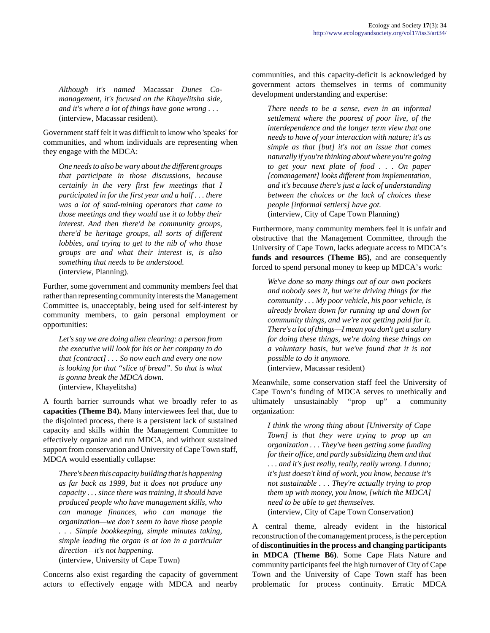*Although it's named* Macassar *Dunes Comanagement, it's focused on the Khayelitsha side, and it's where a lot of things have gone wrong . . .*  (interview, Macassar resident).

Government staff felt it was difficult to know who 'speaks' for communities, and whom individuals are representing when they engage with the MDCA:

*One needs to also be wary about the different groups that participate in those discussions, because certainly in the very first few meetings that I participated in for the first year and a half . . . there was a lot of sand-mining operators that came to those meetings and they would use it to lobby their interest. And then there'd be community groups, there'd be heritage groups, all sorts of different lobbies, and trying to get to the nib of who those groups are and what their interest is, is also something that needs to be understood.*  (interview, Planning).

Further, some government and community members feel that rather than representing community interests the Management Committee is, unacceptably, being used for self-interest by community members, to gain personal employment or opportunities:

*Let's say we are doing alien clearing: a person from the executive will look for his or her company to do that [contract] . . . So now each and every one now is looking for that "slice of bread". So that is what is gonna break the MDCA down.*  (interview, Khayelitsha)

A fourth barrier surrounds what we broadly refer to as **capacities (Theme B4).** Many interviewees feel that, due to the disjointed process, there is a persistent lack of sustained capacity and skills within the Management Committee to effectively organize and run MDCA, and without sustained support from conservation and University of Cape Town staff, MDCA would essentially collapse:

*There's been this capacity building that is happening as far back as 1999, but it does not produce any capacity . . . since there was training, it should have produced people who have management skills, who can manage finances, who can manage the organization—we don't seem to have those people . . . Simple bookkeeping, simple minutes taking, simple leading the organ is at ion in a particular direction—it's not happening.* 

(interview, University of Cape Town)

Concerns also exist regarding the capacity of government actors to effectively engage with MDCA and nearby communities, and this capacity-deficit is acknowledged by government actors themselves in terms of community development understanding and expertise:

*There needs to be a sense, even in an informal settlement where the poorest of poor live, of the interdependence and the longer term view that one needs to have of your interaction with nature; it's as simple as that [but] it's not an issue that comes naturally if you're thinking about where you're going to get your next plate of food . . . On paper [comanagement] looks different from implementation, and it's because there's just a lack of understanding between the choices or the lack of choices these people [informal settlers] have got.*  (interview, City of Cape Town Planning)

Furthermore, many community members feel it is unfair and obstructive that the Management Committee, through the University of Cape Town, lacks adequate access to MDCA's **funds and resources (Theme B5)**, and are consequently forced to spend personal money to keep up MDCA's work:

*We've done so many things out of our own pockets and nobody sees it, but we're driving things for the community . . . My poor vehicle, his poor vehicle, is already broken down for running up and down for community things, and we're not getting paid for it. There's a lot of things—I mean you don't get a salary for doing these things, we're doing these things on a voluntary basis, but we've found that it is not possible to do it anymore.*  (interview, Macassar resident)

Meanwhile, some conservation staff feel the University of Cape Town's funding of MDCA serves to unethically and ultimately unsustainably "prop up" a community organization:

*I think the wrong thing about [University of Cape Town] is that they were trying to prop up an organization . . . They've been getting some funding for their office, and partly subsidizing them and that . . . and it's just really, really, really wrong. I dunno; it's just doesn't kind of work, you know, because it's not sustainable . . . They're actually trying to prop them up with money, you know, [which the MDCA] need to be able to get themselves.*  (interview, City of Cape Town Conservation)

A central theme, already evident in the historical reconstruction of the comanagement process, is the perception of **discontinuities in the process and changing participants in MDCA (Theme B6)**. Some Cape Flats Nature and community participants feel the high turnover of City of Cape Town and the University of Cape Town staff has been problematic for process continuity. Erratic MDCA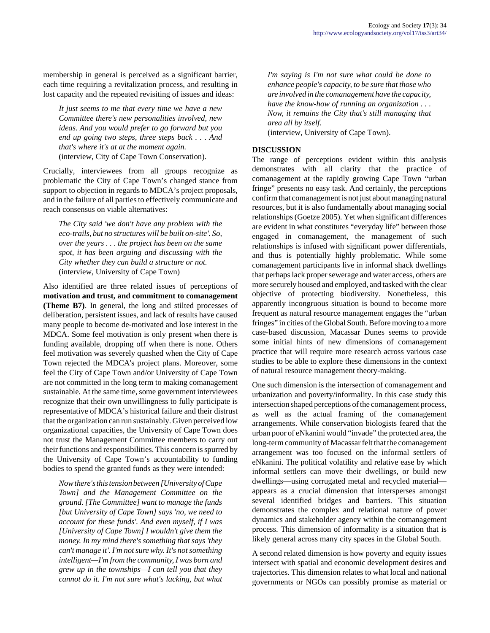membership in general is perceived as a significant barrier, each time requiring a revitalization process, and resulting in lost capacity and the repeated revisiting of issues and ideas:

*It just seems to me that every time we have a new Committee there's new personalities involved, new ideas. And you would prefer to go forward but you end up going two steps, three steps back . . . And that's where it's at at the moment again.* (interview, City of Cape Town Conservation).

Crucially, interviewees from all groups recognize as problematic the City of Cape Town's changed stance from support to objection in regards to MDCA's project proposals, and in the failure of all parties to effectively communicate and reach consensus on viable alternatives:

*The City said 'we don't have any problem with the eco-trails, but no structures will be built on-site'. So, over the years . . . the project has been on the same spot, it has been arguing and discussing with the City whether they can build a structure or not.* (interview, University of Cape Town)

Also identified are three related issues of perceptions of **motivation and trust, and commitment to comanagement (Theme B7)**. In general, the long and stilted processes of deliberation, persistent issues, and lack of results have caused many people to become de-motivated and lose interest in the MDCA. Some feel motivation is only present when there is funding available, dropping off when there is none. Others feel motivation was severely quashed when the City of Cape Town rejected the MDCA's project plans. Moreover, some feel the City of Cape Town and/or University of Cape Town are not committed in the long term to making comanagement sustainable. At the same time, some government interviewees recognize that their own unwillingness to fully participate is representative of MDCA's historical failure and their distrust that the organization can run sustainably. Given perceived low organizational capacities, the University of Cape Town does not trust the Management Committee members to carry out their functions and responsibilities. This concern is spurred by the University of Cape Town's accountability to funding bodies to spend the granted funds as they were intended:

*Now there's this tension between [University of Cape Town] and the Management Committee on the ground. [The Committee] want to manage the funds [but University of Cape Town] says 'no, we need to account for these funds'. And even myself, if I was [University of Cape Town] I wouldn't give them the money. In my mind there's something that says 'they can't manage it'. I'm not sure why. It's not something intelligent—I'm from the community, I was born and grew up in the townships—I can tell you that they cannot do it. I'm not sure what's lacking, but what*

*I'm saying is I'm not sure what could be done to enhance people's capacity, to be sure that those who are involved in the comanagement have the capacity, have the know-how of running an organization . . . Now, it remains the City that's still managing that area all by itself.* 

(interview, University of Cape Town).

# **DISCUSSION**

The range of perceptions evident within this analysis demonstrates with all clarity that the practice of comanagement at the rapidly growing Cape Town "urban fringe" presents no easy task. And certainly, the perceptions confirm that comanagement is not just about managing natural resources, but it is also fundamentally about managing social relationships (Goetze 2005). Yet when significant differences are evident in what constitutes "everyday life" between those engaged in comanagement, the management of such relationships is infused with significant power differentials, and thus is potentially highly problematic. While some comanagement participants live in informal shack dwellings that perhaps lack proper sewerage and water access, others are more securely housed and employed, and tasked with the clear objective of protecting biodiversity. Nonetheless, this apparently incongruous situation is bound to become more frequent as natural resource management engages the "urban fringes" in cities of the Global South. Before moving to a more case-based discussion, Macassar Dunes seems to provide some initial hints of new dimensions of comanagement practice that will require more research across various case studies to be able to explore these dimensions in the context of natural resource management theory-making.

One such dimension is the intersection of comanagement and urbanization and poverty/informality. In this case study this intersection shaped perceptions of the comanagement process, as well as the actual framing of the comanagement arrangements. While conservation biologists feared that the urban poor of eNkanini would "invade" the protected area, the long-term community of Macassar felt that the comanagement arrangement was too focused on the informal settlers of eNkanini. The political volatility and relative ease by which informal settlers can move their dwellings, or build new dwellings—using corrugated metal and recycled material appears as a crucial dimension that intersperses amongst several identified bridges and barriers. This situation demonstrates the complex and relational nature of power dynamics and stakeholder agency within the comanagement process. This dimension of informality is a situation that is likely general across many city spaces in the Global South.

A second related dimension is how poverty and equity issues intersect with spatial and economic development desires and trajectories. This dimension relates to what local and national governments or NGOs can possibly promise as material or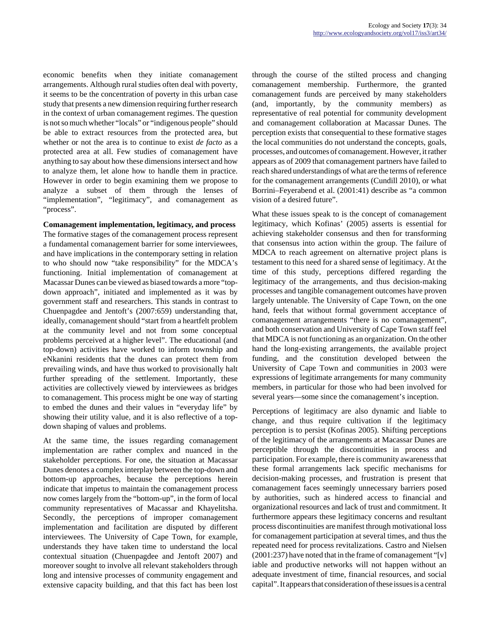economic benefits when they initiate comanagement arrangements. Although rural studies often deal with poverty, it seems to be the concentration of poverty in this urban case study that presents a new dimension requiring further research in the context of urban comanagement regimes. The question is not so much whether "locals" or "indigenous people" should be able to extract resources from the protected area, but whether or not the area is to continue to exist *de facto* as a protected area at all. Few studies of comanagement have anything to say about how these dimensions intersect and how to analyze them, let alone how to handle them in practice. However in order to begin examining them we propose to analyze a subset of them through the lenses of "implementation", "legitimacy", and comanagement as "process".

**Comanagement implementation, legitimacy, and process**

The formative stages of the comanagement process represent a fundamental comanagement barrier for some interviewees, and have implications in the contemporary setting in relation to who should now "take responsibility" for the MDCA's functioning. Initial implementation of comanagement at Macassar Dunes can be viewed as biased towards a more "topdown approach", initiated and implemented as it was by government staff and researchers. This stands in contrast to Chuenpagdee and Jentoft's (2007:659) understanding that, ideally, comanagement should "start from a heartfelt problem at the community level and not from some conceptual problems perceived at a higher level". The educational (and top-down) activities have worked to inform township and eNkanini residents that the dunes can protect them from prevailing winds, and have thus worked to provisionally halt further spreading of the settlement. Importantly, these activities are collectively viewed by interviewees as bridges to comanagement. This process might be one way of starting to embed the dunes and their values in "everyday life" by showing their utility value, and it is also reflective of a topdown shaping of values and problems.

At the same time, the issues regarding comanagement implementation are rather complex and nuanced in the stakeholder perceptions. For one, the situation at Macassar Dunes denotes a complex interplay between the top-down and bottom-up approaches, because the perceptions herein indicate that impetus to maintain the comanagement process now comes largely from the "bottom-up", in the form of local community representatives of Macassar and Khayelitsha. Secondly, the perceptions of improper comanagement implementation and facilitation are disputed by different interviewees. The University of Cape Town, for example, understands they have taken time to understand the local contextual situation (Chuenpagdee and Jentoft 2007) and moreover sought to involve all relevant stakeholders through long and intensive processes of community engagement and extensive capacity building, and that this fact has been lost through the course of the stilted process and changing comanagement membership. Furthermore, the granted comanagement funds are perceived by many stakeholders (and, importantly, by the community members) as representative of real potential for community development and comanagement collaboration at Macassar Dunes. The perception exists that consequential to these formative stages the local communities do not understand the concepts, goals, processes, and outcomes of comanagement. However, it rather appears as of 2009 that comanagement partners have failed to reach shared understandings of what are the terms of reference for the comanagement arrangements (Cundill 2010), or what Borrini–Feyerabend et al. (2001:41) describe as "a common vision of a desired future".

What these issues speak to is the concept of comanagement legitimacy, which Kofinas' (2005) asserts is essential for achieving stakeholder consensus and then for transforming that consensus into action within the group. The failure of MDCA to reach agreement on alternative project plans is testament to this need for a shared sense of legitimacy. At the time of this study, perceptions differed regarding the legitimacy of the arrangements, and thus decision-making processes and tangible comanagement outcomes have proven largely untenable. The University of Cape Town, on the one hand, feels that without formal government acceptance of comanagement arrangements "there is no comanagement", and both conservation and University of Cape Town staff feel that MDCA is not functioning as an organization. On the other hand the long-existing arrangements, the available project funding, and the constitution developed between the University of Cape Town and communities in 2003 were expressions of legitimate arrangements for many community members, in particular for those who had been involved for several years—some since the comanagement's inception.

Perceptions of legitimacy are also dynamic and liable to change, and thus require cultivation if the legitimacy perception is to persist (Kofinas 2005). Shifting perceptions of the legitimacy of the arrangements at Macassar Dunes are perceptible through the discontinuities in process and participation. For example, there is community awareness that these formal arrangements lack specific mechanisms for decision-making processes, and frustration is present that comanagement faces seemingly unnecessary barriers posed by authorities, such as hindered access to financial and organizational resources and lack of trust and commitment. It furthermore appears these legitimacy concerns and resultant process discontinuities are manifest through motivational loss for comanagement participation at several times, and thus the repeated need for process revitalizations. Castro and Nielsen (2001:237) have noted that in the frame of comanagement "[v] iable and productive networks will not happen without an adequate investment of time, financial resources, and social capital". It appears that consideration of these issues is a central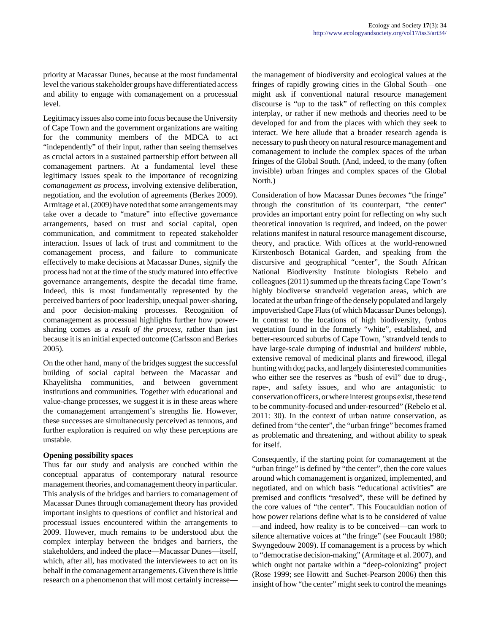priority at Macassar Dunes, because at the most fundamental level the various stakeholder groups have differentiated access and ability to engage with comanagement on a processual level.

Legitimacy issues also come into focus because the University of Cape Town and the government organizations are waiting for the community members of the MDCA to act "independently" of their input, rather than seeing themselves as crucial actors in a sustained partnership effort between all comanagement partners. At a fundamental level these legitimacy issues speak to the importance of recognizing *comanagement as process,* involving extensive deliberation, negotiation, and the evolution of agreements (Berkes 2009). Armitage et al. (2009) have noted that some arrangements may take over a decade to "mature" into effective governance arrangements, based on trust and social capital, open communication, and commitment to repeated stakeholder interaction. Issues of lack of trust and commitment to the comanagement process, and failure to communicate effectively to make decisions at Macassar Dunes, signify the process had not at the time of the study matured into effective governance arrangements, despite the decadal time frame. Indeed, this is most fundamentally represented by the perceived barriers of poor leadership, unequal power-sharing, and poor decision-making processes. Recognition of comanagement as processual highlights further how powersharing comes as a *result of the process*, rather than just because it is an initial expected outcome (Carlsson and Berkes 2005).

On the other hand, many of the bridges suggest the successful building of social capital between the Macassar and Khayelitsha communities, and between government institutions and communities. Together with educational and value-change processes, we suggest it is in these areas where the comanagement arrangement's strengths lie. However, these successes are simultaneously perceived as tenuous, and further exploration is required on why these perceptions are unstable.

#### **Opening possibility spaces**

Thus far our study and analysis are couched within the conceptual apparatus of contemporary natural resource management theories, and comanagement theory in particular. This analysis of the bridges and barriers to comanagement of Macassar Dunes through comanagement theory has provided important insights to questions of conflict and historical and processual issues encountered within the arrangements to 2009. However, much remains to be understood abut the complex interplay between the bridges and barriers, the stakeholders, and indeed the place—Macassar Dunes—itself, which, after all, has motivated the interviewees to act on its behalf in the comanagement arrangements. Given there is little research on a phenomenon that will most certainly increasethe management of biodiversity and ecological values at the fringes of rapidly growing cities in the Global South—one might ask if conventional natural resource management discourse is "up to the task" of reflecting on this complex interplay, or rather if new methods and theories need to be developed for and from the places with which they seek to interact. We here allude that a broader research agenda is necessary to push theory on natural resource management and comanagement to include the complex spaces of the urban fringes of the Global South. (And, indeed, to the many (often invisible) urban fringes and complex spaces of the Global North.)

Consideration of how Macassar Dunes *becomes* "the fringe" through the constitution of its counterpart, "the center" provides an important entry point for reflecting on why such theoretical innovation is required, and indeed, on the power relations manifest in natural resource management discourse, theory, and practice. With offices at the world-renowned Kirstenbosch Botanical Garden, and speaking from the discursive and geographical "center", the South African National Biodiversity Institute biologists Rebelo and colleagues (2011) summed up the threats facing Cape Town's highly biodiverse strandveld vegetation areas, which are located at the urban fringe of the densely populated and largely impoverished Cape Flats (of which Macassar Dunes belongs). In contrast to the locations of high biodiversity, fynbos vegetation found in the formerly "white", established, and better-resourced suburbs of Cape Town, "strandveld tends to have large-scale dumping of industrial and builders' rubble, extensive removal of medicinal plants and firewood, illegal hunting with dog packs, and largely disinterested communities who either see the reserves as "bush of evil" due to drug-, rape-, and safety issues, and who are antagonistic to conservation officers, or where interest groups exist, these tend to be community-focused and under-resourced" (Rebelo et al. 2011: 30). In the context of urban nature conservation, as defined from "the center", the "urban fringe" becomes framed as problematic and threatening, and without ability to speak for itself.

Consequently, if the starting point for comanagement at the "urban fringe" is defined by "the center", then the core values around which comanagement is organized, implemented, and negotiated, and on which basis "educational activities" are premised and conflicts "resolved", these will be defined by the core values of "the center". This Foucauldian notion of how power relations define what is to be considered of value —and indeed, how reality is to be conceived—can work to silence alternative voices at "the fringe" (see Foucault 1980; Swyngedouw 2009). If comanagement is a process by which to "democratise decision-making" (Armitage et al. 2007), and which ought not partake within a "deep-colonizing" project (Rose 1999; see Howitt and Suchet-Pearson 2006) then this insight of how "the center" might seek to control the meanings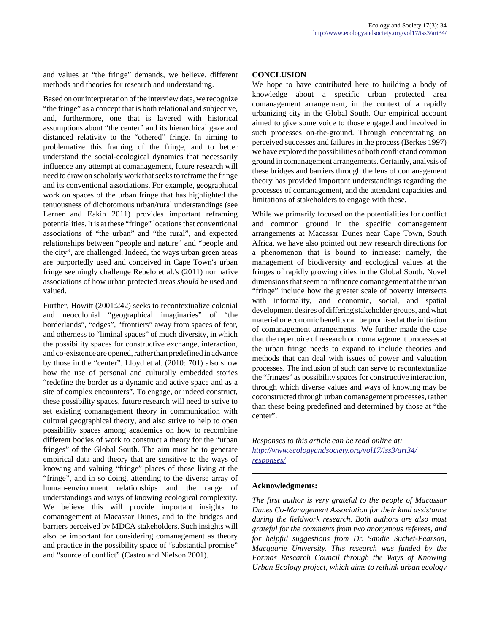and values at "the fringe" demands, we believe, different methods and theories for research and understanding.

Based on our interpretation of the interview data, we recognize "the fringe" as a concept that is both relational and subjective, and, furthermore, one that is layered with historical assumptions about "the center" and its hierarchical gaze and distanced relativity to the "othered" fringe. In aiming to problematize this framing of the fringe, and to better understand the social-ecological dynamics that necessarily influence any attempt at comanagement, future research will need to draw on scholarly work that seeks to reframe the fringe and its conventional associations. For example, geographical work on spaces of the urban fringe that has highlighted the tenuousness of dichotomous urban/rural understandings (see Lerner and Eakin 2011) provides important reframing potentialities. It is at these "fringe" locations that conventional associations of "the urban" and "the rural", and expected relationships between "people and nature" and "people and the city", are challenged. Indeed, the ways urban green areas are purportedly used and conceived in Cape Town's urban fringe seemingly challenge Rebelo et al.'s (2011) normative associations of how urban protected areas *should* be used and valued.

Further, Howitt (2001:242) seeks to recontextualize colonial and neocolonial "geographical imaginaries" of "the borderlands", "edges", "frontiers" away from spaces of fear, and otherness to "liminal spaces" of much diversity, in which the possibility spaces for constructive exchange, interaction, and co-existence are opened, rather than predefined in advance by those in the "center". Lloyd et al. (2010: 701) also show how the use of personal and culturally embedded stories "redefine the border as a dynamic and active space and as a site of complex encounters". To engage, or indeed construct, these possibility spaces, future research will need to strive to set existing comanagement theory in communication with cultural geographical theory, and also strive to help to open possibility spaces among academics on how to recombine different bodies of work to construct a theory for the "urban fringes" of the Global South. The aim must be to generate empirical data and theory that are sensitive to the ways of knowing and valuing "fringe" places of those living at the "fringe", and in so doing, attending to the diverse array of human-environment relationships and the range of understandings and ways of knowing ecological complexity. We believe this will provide important insights to comanagement at Macassar Dunes, and to the bridges and barriers perceived by MDCA stakeholders. Such insights will also be important for considering comanagement as theory and practice in the possibility space of "substantial promise" and "source of conflict" (Castro and Nielson 2001).

# **CONCLUSION**

We hope to have contributed here to building a body of knowledge about a specific urban protected area comanagement arrangement, in the context of a rapidly urbanizing city in the Global South. Our empirical account aimed to give some voice to those engaged and involved in such processes on-the-ground. Through concentrating on perceived successes and failures in the process (Berkes 1997) we have explored the possibilities of both conflict and common ground in comanagement arrangements. Certainly, analysis of these bridges and barriers through the lens of comanagement theory has provided important understandings regarding the processes of comanagement, and the attendant capacities and limitations of stakeholders to engage with these.

While we primarily focused on the potentialities for conflict and common ground in the specific comanagement arrangements at Macassar Dunes near Cape Town, South Africa, we have also pointed out new research directions for a phenomenon that is bound to increase: namely, the management of biodiversity and ecological values at the fringes of rapidly growing cities in the Global South. Novel dimensions that seem to influence comanagement at the urban "fringe" include how the greater scale of poverty intersects with informality, and economic, social, and spatial development desires of differing stakeholder groups, and what material or economic benefits can be promised at the initiation of comanagement arrangements. We further made the case that the repertoire of research on comanagement processes at the urban fringe needs to expand to include theories and methods that can deal with issues of power and valuation processes. The inclusion of such can serve to recontextualize the "fringes" as possibility spaces for constructive interaction, through which diverse values and ways of knowing may be coconstructed through urban comanagement processes, rather than these being predefined and determined by those at "the center".

*Responses to this article can be read online at: [http://www](http://www.ecologyandsociety.org/vol17/iss3/art34/responses/).ecologyandsociety.org/vol17/iss3/art34/ responses/*

#### **Acknowledgments:**

*The first author is very grateful to the people of Macassar Dunes Co-Management Association for their kind assistance during the fieldwork research. Both authors are also most grateful for the comments from two anonymous referees, and for helpful suggestions from Dr. Sandie Suchet-Pearson, Macquarie University. This research was funded by the Formas Research Council through the Ways of Knowing Urban Ecology project, which aims to rethink urban ecology*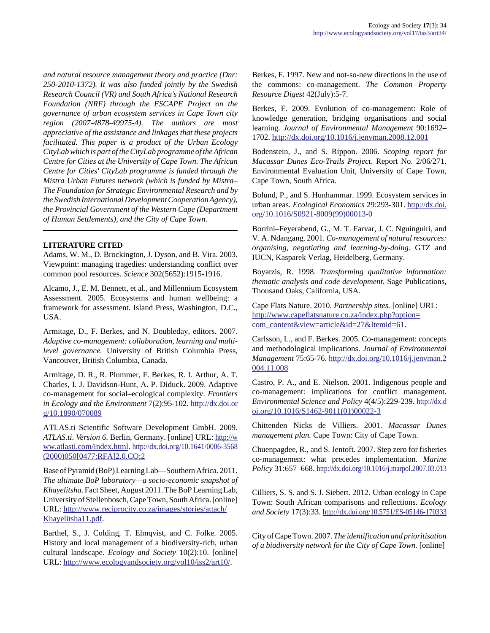*and natural resource management theory and practice (Dnr: 250-2010-1372). It was also funded jointly by the Swedish Research Council (VR) and South Africa's National Research Foundation (NRF) through the ESCAPE Project on the governance of urban ecosystem services in Cape Town city region (2007-4878-49975-4). The authors are most appreciative of the assistance and linkages that these projects facilitated. This paper is a product of the Urban Ecology CityLab which is part of the CityLab programme of the African Centre for Cities at the University of Cape Town. The African Centre for Cities' CityLab programme is funded through the Mistra Urban Futures network (which is funded by Mistra– The Foundation for Strategic Environmental Research and by the Swedish International Development Cooperation Agency), the Provincial Government of the Western Cape (Department of Human Settlements), and the City of Cape Town.*

# **LITERATURE CITED**

Adams, W. M., D. Brockington, J. Dyson, and B. Vira. 2003. Viewpoint: managing tragedies: understanding conflict over common pool resources. *Science* 302(5652):1915-1916.

Alcamo, J., E. M. Bennett, et al., and Millennium Ecosystem Assessment. 2005. Ecosystems and human wellbeing: a framework for assessment. Island Press, Washington, D.C., USA.

Armitage, D., F. Berkes, and N. Doubleday, editors. 2007. *Adaptive co-management: collaboration, learning and multilevel governance.* University of British Columbia Press, Vancouver, British Columbia, Canada.

Armitage, D. R., R. Plummer, F. Berkes, R. I. Arthur, A. T. Charles, I. J. Davidson-Hunt, A. P. Diduck. 2009. Adaptive co-management for social–ecological complexity. *Frontiers in Ecology and the Environment* 7(2):95-102. [http://dx.doi.or](http://dx.doi.org/10.1890/070089) [g/10.1890/070089](http://dx.doi.org/10.1890/070089)

ATLAS.ti Scientific Software Development GmbH. 2009. *ATLAS.ti*. *Version 6*. Berlin, Germany. [online] URL: [http://w](http://www.atlasti.com/index.html) [ww.atlasti.com/index.html](http://www.atlasti.com/index.html). [http://dx.doi.org/10.1641/0006-3568](http://dx.doi.org/10.1641/0006-3568(2000)050[0477:RFA]2.0.CO;2) [\(2000\)050\[0477:RFA\]2.0.CO;2](http://dx.doi.org/10.1641/0006-3568(2000)050[0477:RFA]2.0.CO;2)

Base of Pyramid (BoP) Learning Lab—Southern Africa. 2011. *The ultimate BoP laboratory—a socio-economic snapshot of Khayelitsha*. Fact Sheet, August 2011. The BoP Learning Lab, University of Stellenbosch, Cape Town, South Africa. [online] URL: [http://www.reciprocity.co.za/images/stories/attach/](http://www.reciprocity.co.za/images/stories/attach/Khayelitsha11.pdf) [Khayelitsha11.pdf.](http://www.reciprocity.co.za/images/stories/attach/Khayelitsha11.pdf)

Barthel, S., J. Colding, T. Elmqvist, and C. Folke. 2005. History and local management of a biodiversity-rich, urban cultural landscape. *Ecology and Society* 10(2):10. [online] URL: [http://www.ecologyandsociety.org/vol10/iss2/art10/.](http://www.ecologyandsociety.org/vol10/iss2/art10/)

Berkes, F. 1997. New and not-so-new directions in the use of the commons: co-management. *The Common Property Resource Digest* 42(July):5-7.

Berkes, F. 2009. Evolution of co-management: Role of knowledge generation, bridging organisations and social learning. *Journal of Environmental Management* 90:1692– 1702. <http://dx.doi.org/10.1016/j.jenvman.2008.12.001>

Bodenstein, J., and S. Rippon. 2006. *Scoping report for Macassar Dunes Eco-Trails Project*. Report No. 2/06/271. Environmental Evaluation Unit, University of Cape Town, Cape Town, South Africa.

Bolund, P., and S. Hunhammar. 1999. Ecosystem services in urban areas. *Ecological Economics* 29:293-301. [http://dx.doi.](http://dx.doi.org/10.1016/S0921-8009(99)00013-0) [org/10.1016/S0921-8009\(99\)00013-0](http://dx.doi.org/10.1016/S0921-8009(99)00013-0)

Borrini–Feyerabend, G., M. T. Farvar, J. C. Nguinguiri, and V. A. Ndangang. 2001. *Co-management of natural resources: organising, negotiating and learning-by-doing*. GTZ and IUCN, Kasparek Verlag, Heidelberg, Germany.

Boyatzis, R. 1998. *Transforming qualitative information: thematic analysis and code development*. Sage Publications, Thousand Oaks, California, USA.

Cape Flats Nature. 2010. *Partnership sites.* [online] URL: [http://www.capeflatsnature.co.za/index.php?option=](http://www.capeflatsnature.co.za/index.php?option=com_content&view=article&id=27&Itemid=61) [com\\_content&view=article&id=27&Itemid=61](http://www.capeflatsnature.co.za/index.php?option=com_content&view=article&id=27&Itemid=61).

Carlsson, L., and F. Berkes. 2005. Co-management: concepts and methodological implications. *Journal of Environmental Management* 75:65-76. [http://dx.doi.org/10.1016/j.jenvman.2](http://dx.doi.org/10.1016/j.jenvman.2004.11.008) [004.11.008](http://dx.doi.org/10.1016/j.jenvman.2004.11.008)

Castro, P. A., and E. Nielson. 2001. Indigenous people and co-management: implications for conflict management. *Environmental Science and Policy* 4(4/5):229-239. [http://dx.d](http://dx.doi.org/10.1016/S1462-9011(01)00022-3) [oi.org/10.1016/S1462-9011\(01\)00022-3](http://dx.doi.org/10.1016/S1462-9011(01)00022-3)

Chittenden Nicks de Villiers. 2001. *Macassar Dunes management plan.* Cape Town: City of Cape Town.

Chuenpagdee, R., and S. Jentoft. 2007. Step zero for fisheries co-management: what precedes implementation. *Marine Policy* 31:657–668. <http://dx.doi.org/10.1016/j.marpol.2007.03.013>

Cilliers, S. S. and S. J. Siebert. 2012. Urban ecology in Cape Town: South African comparisons and reflections. *Ecology and Society* 17(3):33.<http://dx.doi.org/10.5751/ES-05146-170333>

City of Cape Town. 2007. *The identification and prioritisation of a biodiversity network for the City of Cape Town.* [online]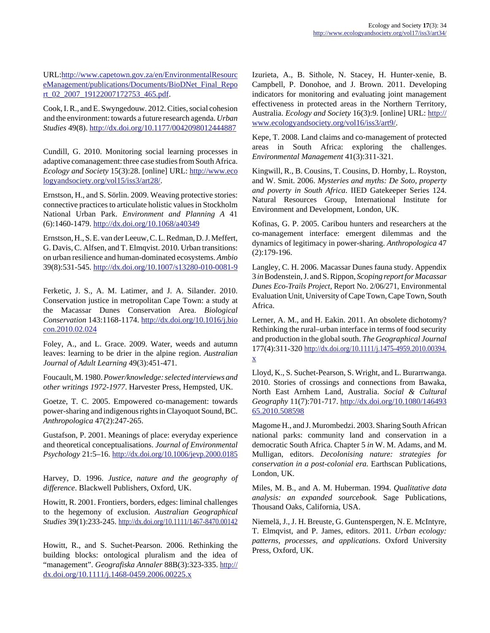URL:[http://www.capetown.gov.za/en/EnvironmentalResourc](http://www.capetown.gov.za/en/EnvironmentalResourceManagement/publications/Documents/BioDNet_Final_Report_02_2007_19122007172753_465.pdf) [eManagement/publications/Documents/BioDNet\\_Final\\_Repo](http://www.capetown.gov.za/en/EnvironmentalResourceManagement/publications/Documents/BioDNet_Final_Report_02_2007_19122007172753_465.pdf) [rt\\_02\\_2007\\_19122007172753\\_465.pdf.](http://www.capetown.gov.za/en/EnvironmentalResourceManagement/publications/Documents/BioDNet_Final_Report_02_2007_19122007172753_465.pdf)

Cook, I. R., and E. Swyngedouw. 2012. Cities, social cohesion and the environment: towards a future research agenda. *Urban Studies* 49(8).<http://dx.doi.org/10.1177/0042098012444887>

Cundill, G. 2010. Monitoring social learning processes in adaptive comanagement: three case studies from South Africa. *Ecology and Society* 15(3):28. [online] URL: [http://www.eco](http://www.ecologyandsociety.org/vol15/iss3/art28/) [logyandsociety.org/vol15/iss3/art28/](http://www.ecologyandsociety.org/vol15/iss3/art28/).

Ernstson, H., and S. Sörlin. 2009. Weaving protective stories: connective practices to articulate holistic values in Stockholm National Urban Park. *Environment and Planning A* 41 (6):1460-1479. <http://dx.doi.org/10.1068/a40349>

Ernstson, H., S. E. van der Leeuw, C. L. Redman, D. J. Meffert, G. Davis, C. Alfsen, and T. Elmqvist. 2010. Urban transitions: on urban resilience and human-dominated ecosystems. *Ambio* 39(8):531-545. <http://dx.doi.org/10.1007/s13280-010-0081-9>

Ferketic, J. S., A. M. Latimer, and J. A. Silander. 2010. Conservation justice in metropolitan Cape Town: a study at the Macassar Dunes Conservation Area. *Biological Conservation* 143:1168-1174. [http://dx.doi.org/10.1016/j.bio](http://dx.doi.org/10.1016/j.biocon.2010.02.024) [con.2010.02.024](http://dx.doi.org/10.1016/j.biocon.2010.02.024) 

Foley, A., and L. Grace. 2009. Water, weeds and autumn leaves: learning to be drier in the alpine region. *Australian Journal of Adult Learning* 49(3):451-471.

Foucault, M. 1980. *Power/knowledge: selected interviews and other writings 1972-1977*. Harvester Press, Hempsted, UK.

Goetze, T. C. 2005. Empowered co-management: towards power-sharing and indigenous rights in Clayoquot Sound, BC. *Anthropologica* 47(2):247-265.

Gustafson, P. 2001. Meanings of place: everyday experience and theoretical conceptualisations. *Journal of Environmental Psychology* 21:5–16.<http://dx.doi.org/10.1006/jevp.2000.0185>

Harvey, D. 1996. *Justice, nature and the geography of difference*. Blackwell Publishers, Oxford, UK.

Howitt, R. 2001. Frontiers, borders, edges: liminal challenges to the hegemony of exclusion. *Australian Geographical Studies* 39(1):233-245.<http://dx.doi.org/10.1111/1467-8470.00142>

Howitt, R., and S. Suchet-Pearson. 2006. Rethinking the building blocks: ontological pluralism and the idea of "management". *Geografiska Annaler* 88B(3):323-335. [http://](http://dx.doi.org/10.1111/j.1468-0459.2006.00225.x) [dx.doi.org/10.1111/j.1468-0459.2006.00225.x](http://dx.doi.org/10.1111/j.1468-0459.2006.00225.x)

Izurieta, A., B. Sithole, N. Stacey, H. Hunter-xenie, B. Campbell, P. Donohoe, and J. Brown. 2011. Developing indicators for monitoring and evaluating joint management effectiveness in protected areas in the Northern Territory, Australia. *Ecology and Society* 16(3):9. [online] URL: [http://](http://www.ecologyandsociety.org/vol16/iss3/art9/) [www.ecologyandsociety.org/vol16/iss3/art9/](http://www.ecologyandsociety.org/vol16/iss3/art9/).

Kepe, T. 2008. Land claims and co-management of protected areas in South Africa: exploring the challenges. *Environmental Management* 41(3):311-321.

Kingwill, R., B. Cousins, T. Cousins, D. Hornby, L. Royston, and W. Smit. 2006. *Mysteries and myths: De Soto, property and poverty in South Africa*. IIED Gatekeeper Series 124. Natural Resources Group, International Institute for Environment and Development, London, UK.

Kofinas, G. P. 2005. Caribou hunters and researchers at the co-management interface: emergent dilemmas and the dynamics of legitimacy in power-sharing. *Anthropologica* 47 (2):179-196.

Langley, C. H. 2006. Macassar Dunes fauna study. Appendix 3 *in* Bodenstein, J. and S. Rippon, *Scoping report for Macassar Dunes Eco-Trails Project*, Report No. 2/06/271, Environmental Evaluation Unit, University of Cape Town, Cape Town, South Africa.

Lerner, A. M., and H. Eakin. 2011. An obsolete dichotomy? Rethinking the rural–urban interface in terms of food security and production in the global south. *The Geographical Journal* 177(4):311-320 [http://dx.doi.org/10.1111/j.1475-4959.2010.00394.](http://dx.doi.org/10.1111/j.1475-4959.2010.00394.x) [x](http://dx.doi.org/10.1111/j.1475-4959.2010.00394.x)

Lloyd, K., S. Suchet-Pearson, S. Wright, and L. Burarrwanga. 2010. Stories of crossings and connections from Bawaka, North East Arnhem Land, Australia. *Social & Cultural Geography* 11(7):701-717. [http://dx.doi.org/10.1080/146493](http://dx.doi.org/10.1080/14649365.2010.508598) [65.2010.508598](http://dx.doi.org/10.1080/14649365.2010.508598)

Magome H., and J. Murombedzi. 2003. Sharing South African national parks: community land and conservation in a democratic South Africa. Chapter 5 *in* W. M. Adams, and M. Mulligan, editors. *Decolonising nature: strategies for conservation in a post-colonial era.* Earthscan Publications, London, UK.

Miles, M. B., and A. M. Huberman. 1994. *Qualitative data analysis: an expanded sourcebook*. Sage Publications, Thousand Oaks, California, USA.

Niemelä, J., J. H. Breuste, G. Guntenspergen, N. E. McIntyre, T. Elmqvist, and P. James, editors. 2011. *Urban ecology: patterns, processes, and applications*. Oxford University Press, Oxford, UK.